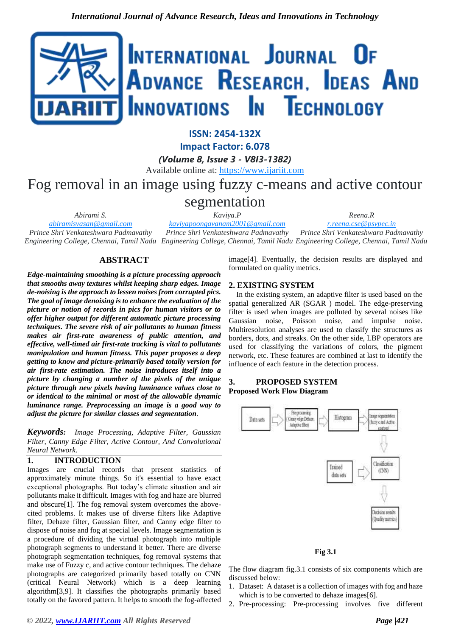

**ISSN: 2454-132X**

**Impact Factor: 6.078**

*(Volume 8, Issue 3 - V8I3-1382)*

Available online at: [https://www.ijariit.com](https://www.ijariit.com/?utm_source=pdf&utm_medium=edition&utm_campaign=OmAkSols&utm_term=V8I3-1382)

# Fog removal in an image using fuzzy c-means and active contour

segmentation

*Kaviya.P*

*Reena.R*

*[abiramisvasan@gmail.com](mailto:abiramisvasan@gmail.com) Prince Shri Venkateshwara Padmavathy Engineering College, Chennai, Tamil Nadu Engineering College, Chennai, Tamil Nadu Engineering College, Chennai, Tamil Nadu [kaviyapoongavanam2001@gmail.com](mailto:kaviyapoongavanam2001@gmail.com) Prince Shri Venkateshwara Padmavathy [r.reena.cse@psvpec.in](mailto:r.reena.cse@psvpec.in) Prince Shri Venkateshwara Padmavathy* 

# **ABSTRACT**

*Abirami S.*

*Edge-maintaining smoothing is a picture processing approach that smooths away textures whilst keeping sharp edges. Image de-noising is the approach to lessen noises from corrupted pics. The goal of image denoising is to enhance the evaluation of the picture or notion of records in pics for human visitors or to offer higher output for different automatic picture processing techniques. The severe risk of air pollutants to human fitness makes air first-rate awareness of public attention, and effective, well-timed air first-rate tracking is vital to pollutants manipulation and human fitness. This paper proposes a deep getting to know and picture-primarily based totally version for air first-rate estimation. The noise introduces itself into a picture by changing a number of the pixels of the unique picture through new pixels having luminance values close to or identical to the minimal or most of the allowable dynamic luminance range. Preprocessing an image is a good way to adjust the picture for similar classes and segmentation.*

*Keywords: Image Processing, Adaptive Filter, Gaussian Filter, Canny Edge Filter, Active Contour, And Convolutional Neural Network.*

# **1. INTRODUCTION**

Images are crucial records that present statistics of approximately minute things. So it's essential to have exact exceptional photographs. But today's climate situation and air pollutants make it difficult. Images with fog and haze are blurred and obscure[1]. The fog removal system overcomes the abovecited problems. It makes use of diverse filters like Adaptive filter, Dehaze filter, Gaussian filter, and Canny edge filter to dispose of noise and fog at special levels. Image segmentation is a procedure of dividing the virtual photograph into multiple photograph segments to understand it better. There are diverse photograph segmentation techniques, fog removal systems that make use of Fuzzy c, and active contour techniques. The dehaze photographs are categorized primarily based totally on CNN (critical Neural Network) which is a deep learning algorithm[3,9]. It classifies the photographs primarily based totally on the favored pattern. It helps to smooth the fog-affected

*© 2022[, www.IJARIIT.com](file:///C:/omak/Downloads/www.IJARIIT.com) All Rights Reserved Page |421*

image[4]. Eventually, the decision results are displayed and formulated on quality metrics.

# **2. EXISTING SYSTEM**

In the existing system, an adaptive filter is used based on the spatial generalized AR (SGAR ) model. The edge-preserving filter is used when images are polluted by several noises like Gaussian noise, Poisson noise, and impulse noise. Multiresolution analyses are used to classify the structures as borders, dots, and streaks. On the other side, LBP operators are used for classifying the variations of colors, the pigment network, etc. These features are combined at last to identify the influence of each feature in the detection process.

## **3. PROPOSED SYSTEM Proposed Work Flow Diagram**



**Fig 3.1**

The flow diagram fig.3.1 consists of six components which are discussed below:

- 1. Dataset: A dataset is a collection of images with fog and haze which is to be converted to dehaze images[6].
- 2. Pre-processing: Pre-processing involves five different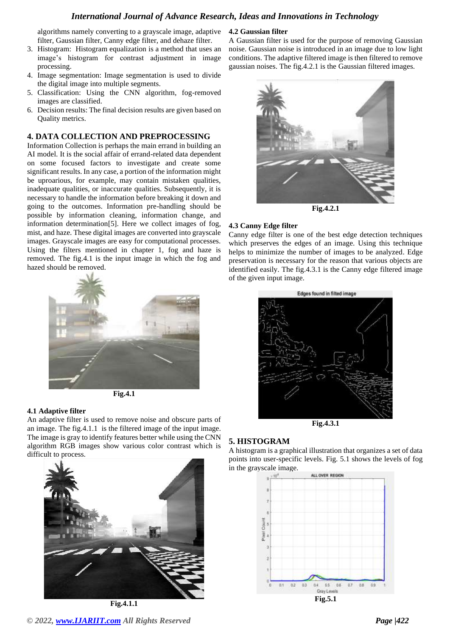# *International Journal of Advance Research, Ideas and Innovations in Technology*

algorithms namely converting to a grayscale image, adaptive filter, Gaussian filter, Canny edge filter, and dehaze filter.

- 3. Histogram: Histogram equalization is a method that uses an image's histogram for contrast adjustment in image processing.
- 4. Image segmentation: Image segmentation is used to divide the digital image into multiple segments.
- 5. Classification: Using the CNN algorithm, fog-removed images are classified.
- 6. Decision results: The final decision results are given based on Quality metrics.

### **4. DATA COLLECTION AND PREPROCESSING**

Information Collection is perhaps the main errand in building an AI model. It is the social affair of errand-related data dependent on some focused factors to investigate and create some significant results. In any case, a portion of the information might be uproarious, for example, may contain mistaken qualities, inadequate qualities, or inaccurate qualities. Subsequently, it is necessary to handle the information before breaking it down and going to the outcomes. Information pre-handling should be possible by information cleaning, information change, and information determination[5]. Here we collect images of fog, mist, and haze. These digital images are converted into grayscale images. Grayscale images are easy for computational processes. Using the filters mentioned in chapter 1, fog and haze is removed. The fig.4.1 is the input image in which the fog and hazed should be removed.





## **4.1 Adaptive filter**

An adaptive filter is used to remove noise and obscure parts of an image. The fig.4.1.1 is the filtered image of the input image. The image is gray to identify features better while using the CNN algorithm RGB images show various color contrast which is difficult to process.



**Fig.4.1.1**

#### **4.2 Gaussian filter**

A Gaussian filter is used for the purpose of removing Gaussian noise. Gaussian noise is introduced in an image due to low light conditions. The adaptive filtered image is then filtered to remove gaussian noises. The fig.4.2.1 is the Gaussian filtered images.



**Fig.4.2.1**

#### **4.3 Canny Edge filter**

Canny edge filter is one of the best edge detection techniques which preserves the edges of an image. Using this technique helps to minimize the number of images to be analyzed. Edge preservation is necessary for the reason that various objects are identified easily. The fig.4.3.1 is the Canny edge filtered image of the given input image.



**Fig.4.3.1**

## **5. HISTOGRAM**

A histogram is a graphical illustration that organizes a set of data points into user-specific levels. Fig. 5.1 shows the levels of fog in the grayscale image.